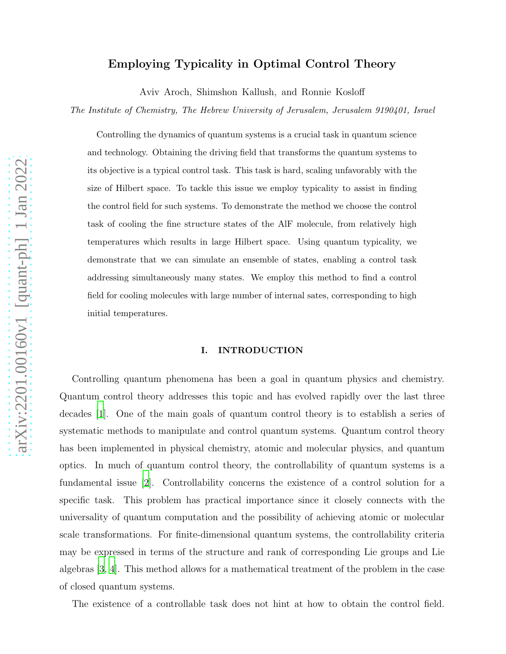# Employing Typicality in Optimal Control Theory

Aviv Aroch, Shimshon Kallush, and Ronnie Kosloff

*The Institute of Chemistry, The Hebrew University of Jerusalem, Jerusalem 9190401, Israel*

Controlling the dynamics of quantum systems is a crucial task in quantum science and technology. Obtaining the driving field that transforms the quantum systems to its objective is a typical control task. This task is hard, scaling unfavorably with the size of Hilbert space. To tackle this issue we employ typicality to assist in finding the control field for such systems. To demonstrate the method we choose the control task of cooling the fine structure states of the AlF molecule, from relatively high temperatures which results in large Hilbert space. Using quantum typicality, we demonstrate that we can simulate an ensemble of states, enabling a control task addressing simultaneously many states. We employ this method to find a control field for cooling molecules with large number of internal sates, corresponding to high initial temperatures.

# I. INTRODUCTION

Controlling quantum phenomena has been a goal in quantum physics and chemistry. Quantum control theory addresses this topic and has evolved rapidly over the last three decades [\[1](#page-17-0)]. One of the main goals of quantum control theory is to establish a series of systematic methods to manipulate and control quantum systems. Quantum control theory has been implemented in physical chemistry, atomic and molecular physics, and quantum optics. In much of quantum control theory, the controllability of quantum systems is a fundamental issue [\[2](#page-17-1)]. Controllability concerns the existence of a control solution for a specific task. This problem has practical importance since it closely connects with the universality of quantum computation and the possibility of achieving atomic or molecular scale transformations. For finite-dimensional quantum systems, the controllability criteria may be expressed in terms of the structure and rank of corresponding Lie groups and Lie algebras [\[3](#page-17-2), [4\]](#page-17-3). This method allows for a mathematical treatment of the problem in the case of closed quantum systems.

The existence of a controllable task does not hint at how to obtain the control field.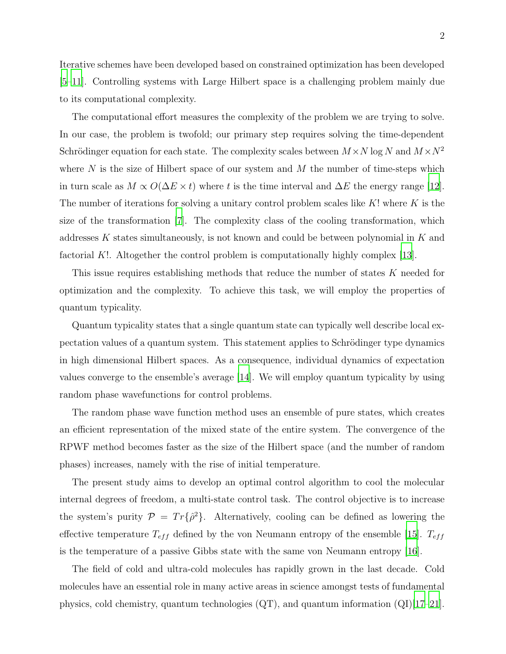Iterative schemes have been developed based on constrained optimization has been developed [\[5](#page-17-4)[–11\]](#page-18-0). Controlling systems with Large Hilbert space is a challenging problem mainly due to its computational complexity.

The computational effort measures the complexity of the problem we are trying to solve. In our case, the problem is twofold; our primary step requires solving the time-dependent Schrödinger equation for each state. The complexity scales between  $M \times N \log N$  and  $M \times N^2$ where  $N$  is the size of Hilbert space of our system and  $M$  the number of time-steps which in turn scale as  $M \propto O(\Delta E \times t)$  where t is the time interval and  $\Delta E$  the energy range [\[12\]](#page-18-1). The number of iterations for solving a unitary control problem scales like  $K!$  where  $K$  is the size of the transformation [\[7](#page-17-5)]. The complexity class of the cooling transformation, which addresses K states simultaneously, is not known and could be between polynomial in K and factorial K!. Altogether the control problem is computationally highly complex [\[13](#page-18-2)].

This issue requires establishing methods that reduce the number of states K needed for optimization and the complexity. To achieve this task, we will employ the properties of quantum typicality.

Quantum typicality states that a single quantum state can typically well describe local expectation values of a quantum system. This statement applies to Schrödinger type dynamics in high dimensional Hilbert spaces. As a consequence, individual dynamics of expectation values converge to the ensemble's average [\[14\]](#page-18-3). We will employ quantum typicality by using random phase wavefunctions for control problems.

The random phase wave function method uses an ensemble of pure states, which creates an efficient representation of the mixed state of the entire system. The convergence of the RPWF method becomes faster as the size of the Hilbert space (and the number of random phases) increases, namely with the rise of initial temperature.

The present study aims to develop an optimal control algorithm to cool the molecular internal degrees of freedom, a multi-state control task. The control objective is to increase the system's purity  $\mathcal{P} = Tr{\{\hat{\rho}^2\}}$ . Alternatively, cooling can be defined as lowering the effective temperature  $T_{eff}$  defined by the von Neumann entropy of the ensemble [\[15\]](#page-18-4).  $T_{eff}$ is the temperature of a passive Gibbs state with the same von Neumann entropy [\[16\]](#page-18-5).

The field of cold and ultra-cold molecules has rapidly grown in the last decade. Cold molecules have an essential role in many active areas in science amongst tests of fundamental physics, cold chemistry, quantum technologies  $(QT)$ , and quantum information  $(QI)[17–21]$  $(QI)[17–21]$  $(QI)[17–21]$ .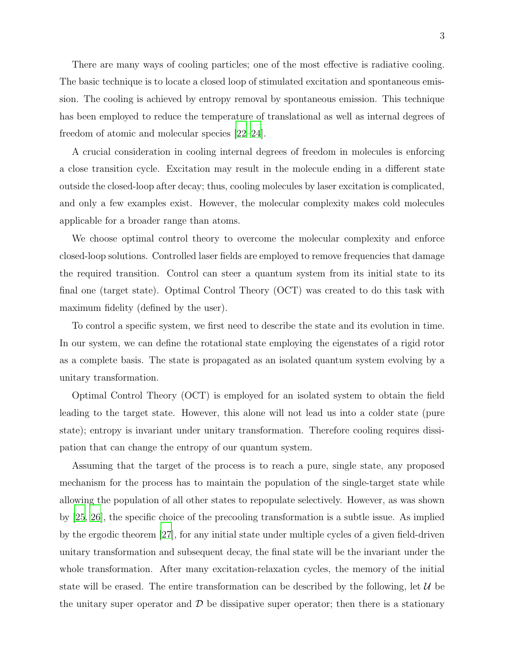There are many ways of cooling particles; one of the most effective is radiative cooling. The basic technique is to locate a closed loop of stimulated excitation and spontaneous emission. The cooling is achieved by entropy removal by spontaneous emission. This technique has been employed to reduce the temperature of translational as well as internal degrees of freedom of atomic and molecular species [\[22](#page-19-0)[–24\]](#page-19-1).

A crucial consideration in cooling internal degrees of freedom in molecules is enforcing a close transition cycle. Excitation may result in the molecule ending in a different state outside the closed-loop after decay; thus, cooling molecules by laser excitation is complicated, and only a few examples exist. However, the molecular complexity makes cold molecules applicable for a broader range than atoms.

We choose optimal control theory to overcome the molecular complexity and enforce closed-loop solutions. Controlled laser fields are employed to remove frequencies that damage the required transition. Control can steer a quantum system from its initial state to its final one (target state). Optimal Control Theory (OCT) was created to do this task with maximum fidelity (defined by the user).

To control a specific system, we first need to describe the state and its evolution in time. In our system, we can define the rotational state employing the eigenstates of a rigid rotor as a complete basis. The state is propagated as an isolated quantum system evolving by a unitary transformation.

Optimal Control Theory (OCT) is employed for an isolated system to obtain the field leading to the target state. However, this alone will not lead us into a colder state (pure state); entropy is invariant under unitary transformation. Therefore cooling requires dissipation that can change the entropy of our quantum system.

Assuming that the target of the process is to reach a pure, single state, any proposed mechanism for the process has to maintain the population of the single-target state while allowing the population of all other states to repopulate selectively. However, as was shown by [\[25,](#page-19-2) [26\]](#page-19-3), the specific choice of the precooling transformation is a subtle issue. As implied by the ergodic theorem [\[27](#page-19-4)], for any initial state under multiple cycles of a given field-driven unitary transformation and subsequent decay, the final state will be the invariant under the whole transformation. After many excitation-relaxation cycles, the memory of the initial state will be erased. The entire transformation can be described by the following, let  $\mathcal{U}$  be the unitary super operator and  $\mathcal D$  be dissipative super operator; then there is a stationary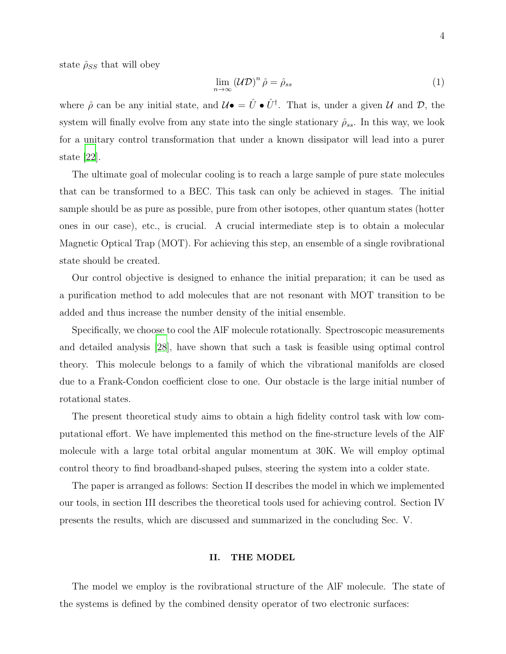state  $\hat{\rho}_{SS}$  that will obey

<span id="page-3-0"></span>
$$
\lim_{n \to \infty} (\mathcal{UD})^n \hat{\rho} = \hat{\rho}_{ss} \tag{1}
$$

where  $\hat{\rho}$  can be any initial state, and  $\mathcal{U}\bullet \hat{U}^{\dagger}$ . That is, under a given  $\mathcal{U}$  and  $\mathcal{D}$ , the system will finally evolve from any state into the single stationary  $\hat{\rho}_{ss}$ . In this way, we look for a unitary control transformation that under a known dissipator will lead into a purer state [\[22\]](#page-19-0).

The ultimate goal of molecular cooling is to reach a large sample of pure state molecules that can be transformed to a BEC. This task can only be achieved in stages. The initial sample should be as pure as possible, pure from other isotopes, other quantum states (hotter ones in our case), etc., is crucial. A crucial intermediate step is to obtain a molecular Magnetic Optical Trap (MOT). For achieving this step, an ensemble of a single rovibrational state should be created.

Our control objective is designed to enhance the initial preparation; it can be used as a purification method to add molecules that are not resonant with MOT transition to be added and thus increase the number density of the initial ensemble.

Specifically, we choose to cool the AlF molecule rotationally. Spectroscopic measurements and detailed analysis [\[28\]](#page-19-5), have shown that such a task is feasible using optimal control theory. This molecule belongs to a family of which the vibrational manifolds are closed due to a Frank-Condon coefficient close to one. Our obstacle is the large initial number of rotational states.

The present theoretical study aims to obtain a high fidelity control task with low computational effort. We have implemented this method on the fine-structure levels of the AlF molecule with a large total orbital angular momentum at 30K. We will employ optimal control theory to find broadband-shaped pulses, steering the system into a colder state.

The paper is arranged as follows: Section II describes the model in which we implemented our tools, in section III describes the theoretical tools used for achieving control. Section IV presents the results, which are discussed and summarized in the concluding Sec. V.

### <span id="page-3-1"></span>II. THE MODEL

The model we employ is the rovibrational structure of the AlF molecule. The state of the systems is defined by the combined density operator of two electronic surfaces: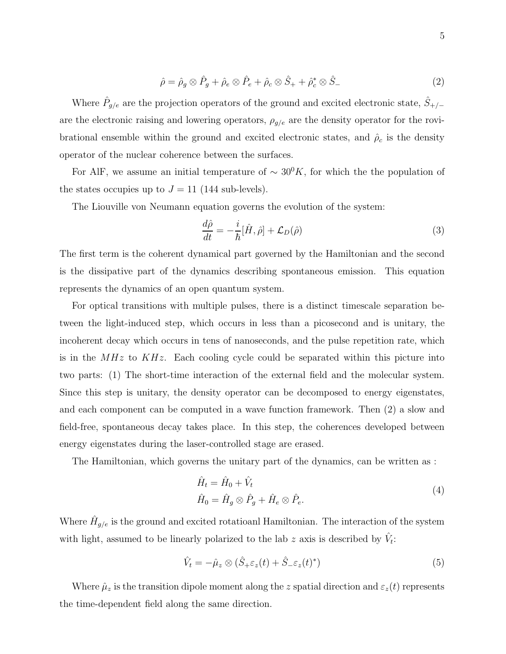$$
\hat{\rho} = \hat{\rho}_g \otimes \hat{P}_g + \hat{\rho}_e \otimes \hat{P}_e + \hat{\rho}_c \otimes \hat{S}_+ + \hat{\rho}_c^* \otimes \hat{S}_-\n\tag{2}
$$

Where  $\hat{P}_{g/e}$  are the projection operators of the ground and excited electronic state,  $\hat{S}_{+/-}$ are the electronic raising and lowering operators,  $\rho_{g/e}$  are the density operator for the rovibrational ensemble within the ground and excited electronic states, and  $\hat{\rho}_c$  is the density operator of the nuclear coherence between the surfaces.

For AlF, we assume an initial temperature of  $\sim 30^0 K$ , for which the the population of the states occupies up to  $J = 11$  (144 sub-levels).

The Liouville von Neumann equation governs the evolution of the system:

<span id="page-4-0"></span>
$$
\frac{d\hat{\rho}}{dt} = -\frac{i}{\hbar}[\hat{H}, \hat{\rho}] + \mathcal{L}_D(\hat{\rho})
$$
\n(3)

The first term is the coherent dynamical part governed by the Hamiltonian and the second is the dissipative part of the dynamics describing spontaneous emission. This equation represents the dynamics of an open quantum system.

For optical transitions with multiple pulses, there is a distinct timescale separation between the light-induced step, which occurs in less than a picosecond and is unitary, the incoherent decay which occurs in tens of nanoseconds, and the pulse repetition rate, which is in the  $MHz$  to  $KHz$ . Each cooling cycle could be separated within this picture into two parts: (1) The short-time interaction of the external field and the molecular system. Since this step is unitary, the density operator can be decomposed to energy eigenstates, and each component can be computed in a wave function framework. Then (2) a slow and field-free, spontaneous decay takes place. In this step, the coherences developed between energy eigenstates during the laser-controlled stage are erased.

The Hamiltonian, which governs the unitary part of the dynamics, can be written as :

$$
\hat{H}_t = \hat{H}_0 + \hat{V}_t
$$
\n
$$
\hat{H}_0 = \hat{H}_g \otimes \hat{P}_g + \hat{H}_e \otimes \hat{P}_e.
$$
\n(4)

Where  $\hat{H}_{g/e}$  is the ground and excited rotatioanl Hamiltonian. The interaction of the system with light, assumed to be linearly polarized to the lab z axis is described by  $\hat{V}_t$ :

$$
\hat{V}_t = -\hat{\mu}_z \otimes (\hat{S}_+\varepsilon_z(t) + \hat{S}_-\varepsilon_z(t)^*)
$$
\n(5)

Where  $\hat{\mu}_z$  is the transition dipole moment along the z spatial direction and  $\varepsilon_z(t)$  represents the time-dependent field along the same direction.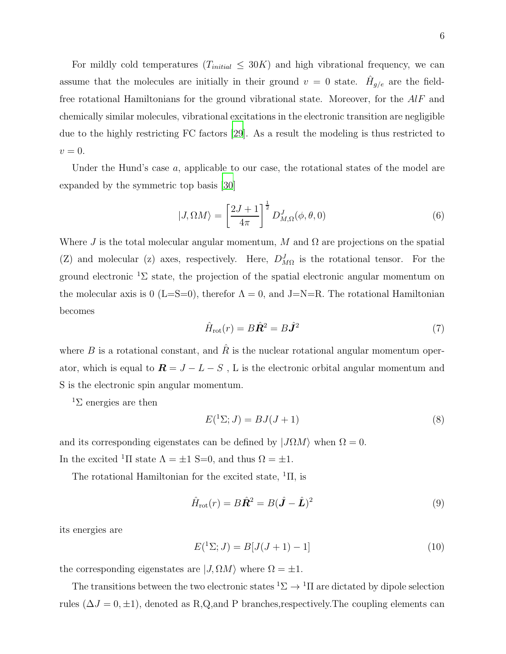For mildly cold temperatures  $(T_{initial} \leq 30K)$  and high vibrational frequency, we can assume that the molecules are initially in their ground  $v = 0$  state.  $\hat{H}_{g/e}$  are the fieldfree rotational Hamiltonians for the ground vibrational state. Moreover, for the AlF and chemically similar molecules, vibrational excitations in the electronic transition are negligible due to the highly restricting FC factors [\[29](#page-19-6)]. As a result the modeling is thus restricted to  $v=0.$ 

Under the Hund's case  $a$ , applicable to our case, the rotational states of the model are expanded by the symmetric top basis [\[30](#page-19-7)]

$$
|J,\Omega M\rangle = \left[\frac{2J+1}{4\pi}\right]^{\frac{1}{2}} D_{M,\Omega}^J(\phi,\theta,0) \tag{6}
$$

Where J is the total molecular angular momentum, M and  $\Omega$  are projections on the spatial (Z) and molecular (z) axes, respectively. Here,  $D_{M\Omega}^{J}$  is the rotational tensor. For the ground electronic <sup>1</sup>Σ state, the projection of the spatial electronic angular momentum on the molecular axis is 0 (L=S=0), therefor  $\Lambda = 0$ , and J=N=R. The rotational Hamiltonian becomes

$$
\hat{H}_{\text{rot}}(r) = B\hat{\mathbf{R}}^2 = B\hat{\mathbf{J}}^2\tag{7}
$$

where B is a rotational constant, and  $\hat{R}$  is the nuclear rotational angular momentum operator, which is equal to  $\mathbf{R} = J - L - S$ , L is the electronic orbital angular momentum and S is the electronic spin angular momentum.

 ${}^{1}\Sigma$  energies are then

$$
E(\binom{1}{2};J) = BJ(J+1) \tag{8}
$$

and its corresponding eigenstates can be defined by  $|J\Omega M\rangle$  when  $\Omega = 0$ .

In the excited <sup>1</sup>Π state  $\Lambda = \pm 1$  S=0, and thus  $\Omega = \pm 1$ .

The rotational Hamiltonian for the excited state,  ${}^{1}\Pi$ , is

$$
\hat{H}_{\text{rot}}(r) = B\hat{\mathbf{R}}^2 = B(\hat{\mathbf{J}} - \hat{\mathbf{L}})^2
$$
\n(9)

its energies are

$$
E({}^{1}\Sigma; J) = B[J(J+1) - 1]
$$
\n(10)

the corresponding eigenstates are  $|J, \Omega M\rangle$  where  $\Omega = \pm 1$ .

The transitions between the two electronic states  ${}^{1}\Sigma \rightarrow {}^{1}\Pi$  are dictated by dipole selection rules ( $\Delta J = 0, \pm 1$ ), denoted as R,Q,and P branches,respectively. The coupling elements can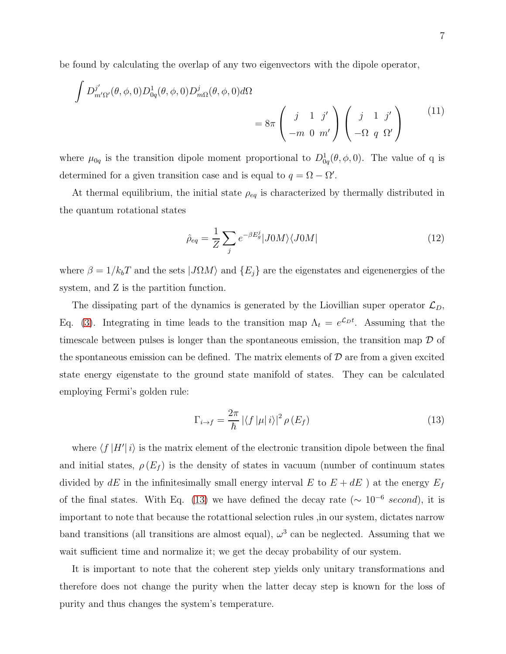be found by calculating the overlap of any two eigenvectors with the dipole operator,

$$
\int D_{m'\Omega'}^{j'}(\theta,\phi,0)D_{0q}^1(\theta,\phi,0)D_{m\Omega}^j(\theta,\phi,0)d\Omega
$$
\n
$$
=8\pi \begin{pmatrix} j & 1 & j' \\ -m & 0 & m' \end{pmatrix} \begin{pmatrix} j & 1 & j' \\ -\Omega & q & \Omega' \end{pmatrix}
$$
\n(11)

where  $\mu_{0q}$  is the transition dipole moment proportional to  $D_{0q}^1(\theta, \phi, 0)$ . The value of q is determined for a given transition case and is equal to  $q = \Omega - \Omega'$ .

At thermal equilibrium, the initial state  $\rho_{eq}$  is characterized by thermally distributed in the quantum rotational states

$$
\hat{\rho}_{eq} = \frac{1}{Z} \sum_{j} e^{-\beta E_g^j} |J0M\rangle \langle J0M| \tag{12}
$$

where  $\beta = 1/k_bT$  and the sets  $|J\Omega M\rangle$  and  $\{E_j\}$  are the eigenstates and eigenenergies of the system, and Z is the partition function.

The dissipating part of the dynamics is generated by the Liovillian super operator  $\mathcal{L}_D$ , Eq. [\(3\)](#page-4-0). Integrating in time leads to the transition map  $\Lambda_t = e^{\mathcal{L}_D t}$ . Assuming that the timescale between pulses is longer than the spontaneous emission, the transition map  $\mathcal D$  of the spontaneous emission can be defined. The matrix elements of  $\mathcal D$  are from a given excited state energy eigenstate to the ground state manifold of states. They can be calculated employing Fermi's golden rule:

<span id="page-6-0"></span>
$$
\Gamma_{i \to f} = \frac{2\pi}{\hbar} \left| \langle f | \mu | i \rangle \right|^2 \rho(E_f) \tag{13}
$$

where  $\langle f | H' | i \rangle$  is the matrix element of the electronic transition dipole between the final and initial states,  $\rho(E_f)$  is the density of states in vacuum (number of continuum states divided by  $dE$  in the infinitesimally small energy interval E to  $E + dE$  ) at the energy  $E_f$ of the final states. With Eq. [\(13\)](#page-6-0) we have defined the decay rate ( $\sim 10^{-6}$  second), it is important to note that because the rotattional selection rules ,in our system, dictates narrow band transitions (all transitions are almost equal),  $\omega^3$  can be neglected. Assuming that we wait sufficient time and normalize it; we get the decay probability of our system.

It is important to note that the coherent step yields only unitary transformations and therefore does not change the purity when the latter decay step is known for the loss of purity and thus changes the system's temperature.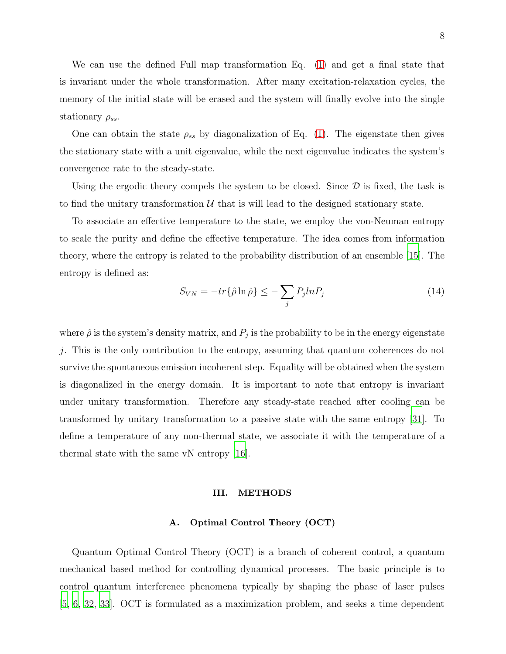We can use the defined Full map transformation Eq. [\(1\)](#page-3-0) and get a final state that is invariant under the whole transformation. After many excitation-relaxation cycles, the memory of the initial state will be erased and the system will finally evolve into the single stationary  $\rho_{ss}$ .

One can obtain the state  $\rho_{ss}$  by diagonalization of Eq. [\(1\)](#page-3-0). The eigenstate then gives the stationary state with a unit eigenvalue, while the next eigenvalue indicates the system's convergence rate to the steady-state.

Using the ergodic theory compels the system to be closed. Since  $D$  is fixed, the task is to find the unitary transformation  $\mathcal U$  that is will lead to the designed stationary state.

To associate an effective temperature to the state, we employ the von-Neuman entropy to scale the purity and define the effective temperature. The idea comes from information theory, where the entropy is related to the probability distribution of an ensemble [\[15\]](#page-18-4). The entropy is defined as:

<span id="page-7-0"></span>
$$
S_{VN} = -tr\{\hat{\rho}\ln\hat{\rho}\} \le -\sum_{j} P_j ln P_j \tag{14}
$$

where  $\hat{\rho}$  is the system's density matrix, and  $P_j$  is the probability to be in the energy eigenstate j. This is the only contribution to the entropy, assuming that quantum coherences do not survive the spontaneous emission incoherent step. Equality will be obtained when the system is diagonalized in the energy domain. It is important to note that entropy is invariant under unitary transformation. Therefore any steady-state reached after cooling can be transformed by unitary transformation to a passive state with the same entropy [\[31\]](#page-19-8). To define a temperature of any non-thermal state, we associate it with the temperature of a thermal state with the same vN entropy [\[16\]](#page-18-5).

#### III. METHODS

# A. Optimal Control Theory (OCT)

Quantum Optimal Control Theory (OCT) is a branch of coherent control, a quantum mechanical based method for controlling dynamical processes. The basic principle is to control quantum interference phenomena typically by shaping the phase of laser pulses [\[5](#page-17-4), [6](#page-17-6), [32,](#page-19-9) [33\]](#page-19-10). OCT is formulated as a maximization problem, and seeks a time dependent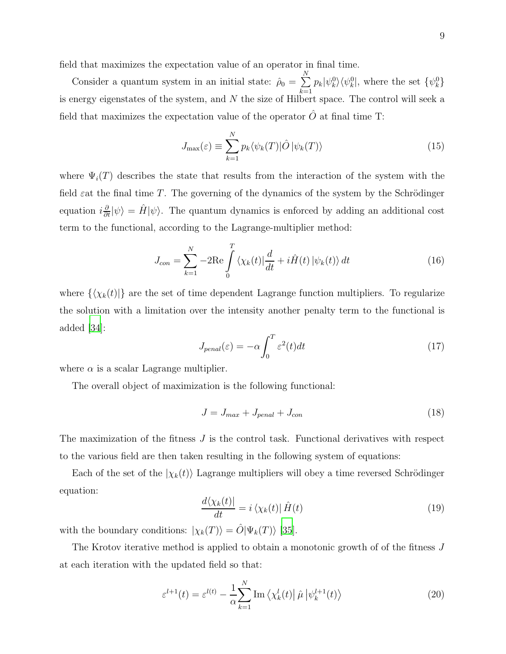field that maximizes the expectation value of an operator in final time.

Consider a quantum system in an initial state:  $\hat{\rho}_0 = \sum$ N  $\sum_{k=1} p_k |\psi_k^0\rangle \langle \psi_k^0|$ , where the set  $\{\psi_k^0\}$ is energy eigenstates of the system, and  $N$  the size of Hilbert space. The control will seek a field that maximizes the expectation value of the operator  $O$  at final time T:

<span id="page-8-2"></span>
$$
J_{\max}(\varepsilon) \equiv \sum_{k=1}^{N} p_k \langle \psi_k(T) | \hat{O} | \psi_k(T) \rangle \tag{15}
$$

where  $\Psi_i(T)$  describes the state that results from the interaction of the system with the field  $\varepsilon$  at the final time T. The governing of the dynamics of the system by the Schrödinger equation  $i\frac{\partial}{\partial t}|\psi\rangle = \hat{H}|\psi\rangle$ . The quantum dynamics is enforced by adding an additional cost term to the functional, according to the Lagrange-multiplier method:

<span id="page-8-3"></span>
$$
J_{con} = \sum_{k=1}^{N} -2\text{Re}\int_{0}^{T} \langle \chi_{k}(t)|\frac{d}{dt} + i\hat{H}(t)|\psi_{k}(t)\rangle dt
$$
 (16)

where  $\{\langle \chi_k(t)| \}$  are the set of time dependent Lagrange function multipliers. To regularize the solution with a limitation over the intensity another penalty term to the functional is added  $|34|$ :

$$
J_{penal}(\varepsilon) = -\alpha \int_0^T \varepsilon^2(t) dt
$$
\n(17)

where  $\alpha$  is a scalar Lagrange multiplier.

The overall object of maximization is the following functional:

$$
J = J_{max} + J_{penal} + J_{con}
$$
\n<sup>(18)</sup>

The maximization of the fitness J is the control task. Functional derivatives with respect to the various field are then taken resulting in the following system of equations:

Each of the set of the  $|\chi_k(t)\rangle$  Lagrange multipliers will obey a time reversed Schrödinger equation:

<span id="page-8-0"></span>
$$
\frac{d\langle \chi_k(t)|}{dt} = i \langle \chi_k(t)| \hat{H}(t) \tag{19}
$$

with the boundary conditions:  $|\chi_k(T)\rangle = \hat{O}|\Psi_k(T)\rangle$  [\[35\]](#page-20-0).

The Krotov iterative method is applied to obtain a monotonic growth of of the fitness J at each iteration with the updated field so that:

<span id="page-8-1"></span>
$$
\varepsilon^{l+1}(t) = \varepsilon^{l(t)} - \frac{1}{\alpha} \sum_{k=1}^{N} \operatorname{Im} \left\langle \chi_k^l(t) \right| \hat{\mu} \left| \psi_k^{l+1}(t) \right\rangle \tag{20}
$$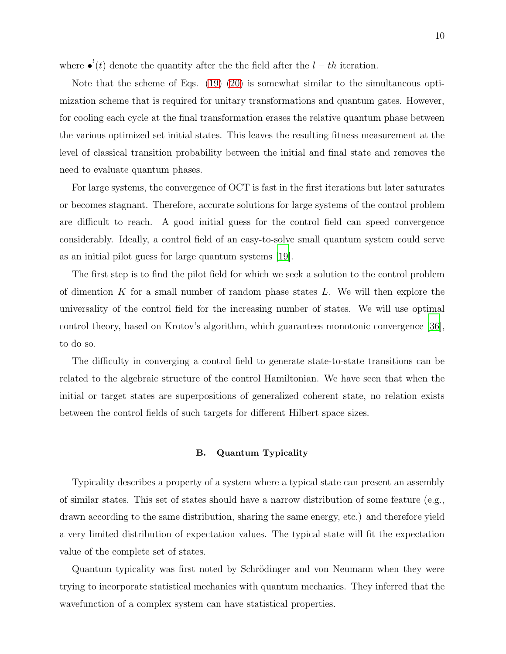where  $\bullet'(t)$  denote the quantity after the the field after the  $l - th$  iteration.

Note that the scheme of Eqs. [\(19\)](#page-8-0) [\(20\)](#page-8-1) is somewhat similar to the simultaneous optimization scheme that is required for unitary transformations and quantum gates. However, for cooling each cycle at the final transformation erases the relative quantum phase between the various optimized set initial states. This leaves the resulting fitness measurement at the level of classical transition probability between the initial and final state and removes the need to evaluate quantum phases.

For large systems, the convergence of OCT is fast in the first iterations but later saturates or becomes stagnant. Therefore, accurate solutions for large systems of the control problem are difficult to reach. A good initial guess for the control field can speed convergence considerably. Ideally, a control field of an easy-to-solve small quantum system could serve as an initial pilot guess for large quantum systems [\[19\]](#page-18-8).

The first step is to find the pilot field for which we seek a solution to the control problem of dimention K for a small number of random phase states  $L$ . We will then explore the universality of the control field for the increasing number of states. We will use optimal control theory, based on Krotov's algorithm, which guarantees monotonic convergence [\[36\]](#page-20-1), to do so.

The difficulty in converging a control field to generate state-to-state transitions can be related to the algebraic structure of the control Hamiltonian. We have seen that when the initial or target states are superpositions of generalized coherent state, no relation exists between the control fields of such targets for different Hilbert space sizes.

#### B. Quantum Typicality

Typicality describes a property of a system where a typical state can present an assembly of similar states. This set of states should have a narrow distribution of some feature (e.g., drawn according to the same distribution, sharing the same energy, etc.) and therefore yield a very limited distribution of expectation values. The typical state will fit the expectation value of the complete set of states.

Quantum typicality was first noted by Schrödinger and von Neumann when they were trying to incorporate statistical mechanics with quantum mechanics. They inferred that the wavefunction of a complex system can have statistical properties.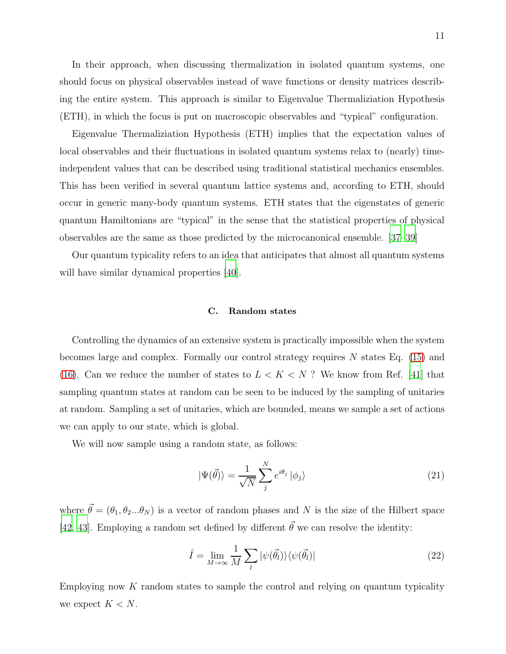In their approach, when discussing thermalization in isolated quantum systems, one should focus on physical observables instead of wave functions or density matrices describing the entire system. This approach is similar to Eigenvalue Thermaliziation Hypothesis (ETH), in which the focus is put on macroscopic observables and "typical" configuration.

Eigenvalue Thermaliziation Hypothesis (ETH) implies that the expectation values of local observables and their fluctuations in isolated quantum systems relax to (nearly) timeindependent values that can be described using traditional statistical mechanics ensembles. This has been verified in several quantum lattice systems and, according to ETH, should occur in generic many-body quantum systems. ETH states that the eigenstates of generic quantum Hamiltonians are "typical" in the sense that the statistical properties of physical observables are the same as those predicted by the microcanonical ensemble. [\[37](#page-20-2)[–39\]](#page-20-3)

Our quantum typicality refers to an idea that anticipates that almost all quantum systems will have similar dynamical properties [\[40\]](#page-20-4).

#### C. Random states

Controlling the dynamics of an extensive system is practically impossible when the system becomes large and complex. Formally our control strategy requires  $N$  states Eq. [\(15\)](#page-8-2) and [\(16\)](#page-8-3). Can we reduce the number of states to  $L < K < N$ ? We know from Ref. [\[41](#page-20-5)] that sampling quantum states at random can be seen to be induced by the sampling of unitaries at random. Sampling a set of unitaries, which are bounded, means we sample a set of actions we can apply to our state, which is global.

We will now sample using a random state, as follows:

$$
|\Psi(\vec{\theta})\rangle = \frac{1}{\sqrt{N}} \sum_{j}^{N} e^{i\theta_{j}} |\phi_{j}\rangle
$$
 (21)

where  $\vec{\theta} = (\theta_1, \theta_2...\theta_N)$  is a vector of random phases and N is the size of the Hilbert space [\[42,](#page-20-6) [43\]](#page-20-7). Employing a random set defined by different  $\vec{\theta}$  we can resolve the identity:

$$
\hat{I} = \lim_{M \to \infty} \frac{1}{M} \sum_{l} |\psi(\vec{\theta}_{l})\rangle \langle \psi(\vec{\theta}_{l})|
$$
\n(22)

Employing now  $K$  random states to sample the control and relying on quantum typicality we expect  $K < N$ .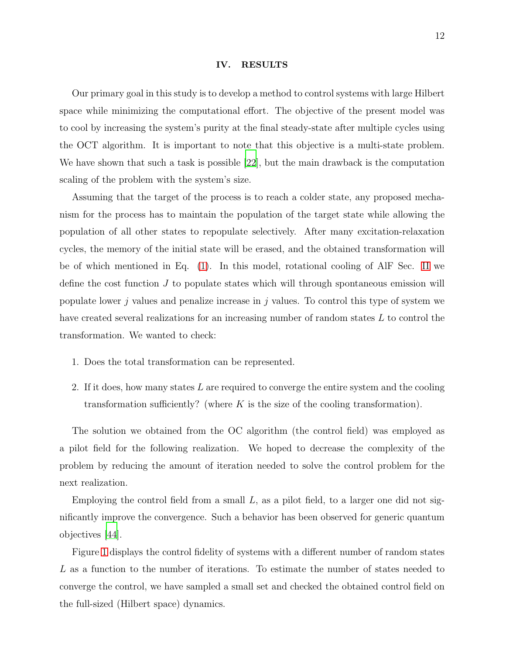#### IV. RESULTS

Our primary goal in this study is to develop a method to control systems with large Hilbert space while minimizing the computational effort. The objective of the present model was to cool by increasing the system's purity at the final steady-state after multiple cycles using the OCT algorithm. It is important to note that this objective is a multi-state problem. We have shown that such a task is possible [\[22\]](#page-19-0), but the main drawback is the computation scaling of the problem with the system's size.

Assuming that the target of the process is to reach a colder state, any proposed mechanism for the process has to maintain the population of the target state while allowing the population of all other states to repopulate selectively. After many excitation-relaxation cycles, the memory of the initial state will be erased, and the obtained transformation will be of which mentioned in Eq. [\(1\)](#page-3-0). In this model, rotational cooling of AlF Sec. [II](#page-3-1) we define the cost function J to populate states which will through spontaneous emission will populate lower j values and penalize increase in j values. To control this type of system we have created several realizations for an increasing number of random states L to control the transformation. We wanted to check:

- 1. Does the total transformation can be represented.
- 2. If it does, how many states  $L$  are required to converge the entire system and the cooling transformation sufficiently? (where  $K$  is the size of the cooling transformation).

The solution we obtained from the OC algorithm (the control field) was employed as a pilot field for the following realization. We hoped to decrease the complexity of the problem by reducing the amount of iteration needed to solve the control problem for the next realization.

Employing the control field from a small  $L$ , as a pilot field, to a larger one did not significantly improve the convergence. Such a behavior has been observed for generic quantum objectives [\[44](#page-20-8)].

Figure [1](#page-12-0) displays the control fidelity of systems with a different number of random states L as a function to the number of iterations. To estimate the number of states needed to converge the control, we have sampled a small set and checked the obtained control field on the full-sized (Hilbert space) dynamics.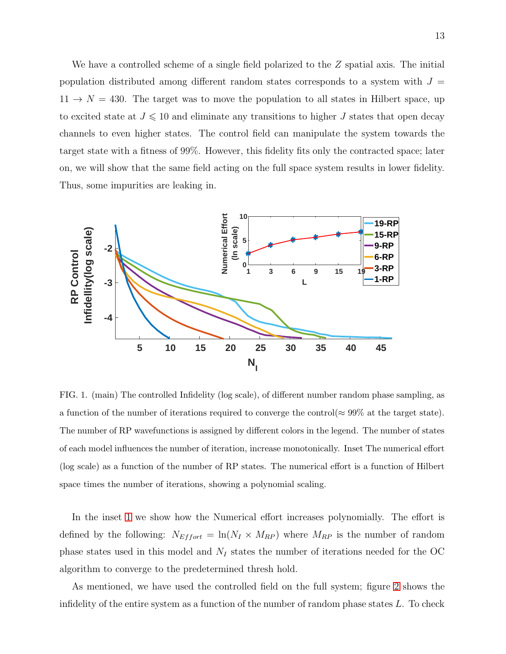We have a controlled scheme of a single field polarized to the Z spatial axis. The initial population distributed among different random states corresponds to a system with  $J =$  $11 \rightarrow N = 430$ . The target was to move the population to all states in Hilbert space, up to excited state at  $J \leq 10$  and eliminate any transitions to higher  $J$  states that open decay channels to even higher states. The control field can manipulate the system towards the target state with a fitness of 99%. However, this fidelity fits only the contracted space; later on, we will show that the same field acting on the full space system results in lower fidelity. Thus, some impurities are leaking in.



<span id="page-12-0"></span>FIG. 1. (main) The controlled Infidelity (log scale), of different number random phase sampling, as a function of the number of iterations required to converge the control( $\approx 99\%$  at the target state). The number of RP wavefunctions is assigned by different colors in the legend. The number of states of each model influences the number of iteration, increase monotonically. Inset The numerical effort (log scale) as a function of the number of RP states. The numerical effort is a function of Hilbert space times the number of iterations, showing a polynomial scaling.

In the inset [1](#page-12-0) we show how the Numerical effort increases polynomially. The effort is defined by the following:  $N_{Effort} = \ln(N_I \times M_{RP})$  where  $M_{RP}$  is the number of random phase states used in this model and  $N_I$  states the number of iterations needed for the OC algorithm to converge to the predetermined thresh hold.

As mentioned, we have used the controlled field on the full system; figure [2](#page-13-0) shows the infidelity of the entire system as a function of the number of random phase states  $L$ . To check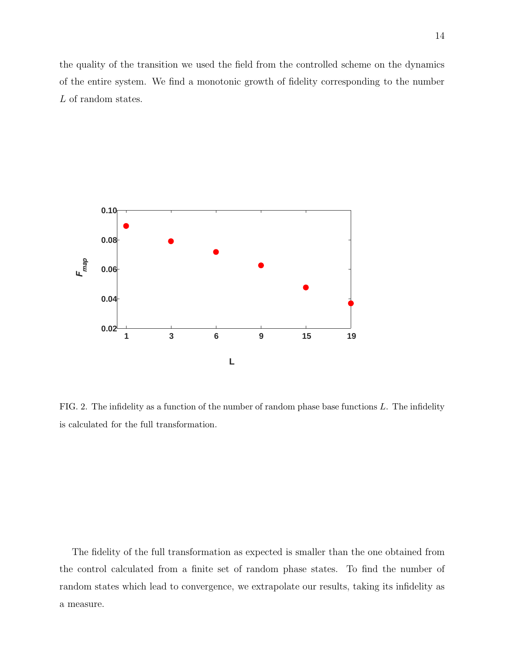the quality of the transition we used the field from the controlled scheme on the dynamics of the entire system. We find a monotonic growth of fidelity corresponding to the number L of random states.



<span id="page-13-0"></span>FIG. 2. The infidelity as a function of the number of random phase base functions  $L$ . The infidelity is calculated for the full transformation.

The fidelity of the full transformation as expected is smaller than the one obtained from the control calculated from a finite set of random phase states. To find the number of random states which lead to convergence, we extrapolate our results, taking its infidelity as a measure.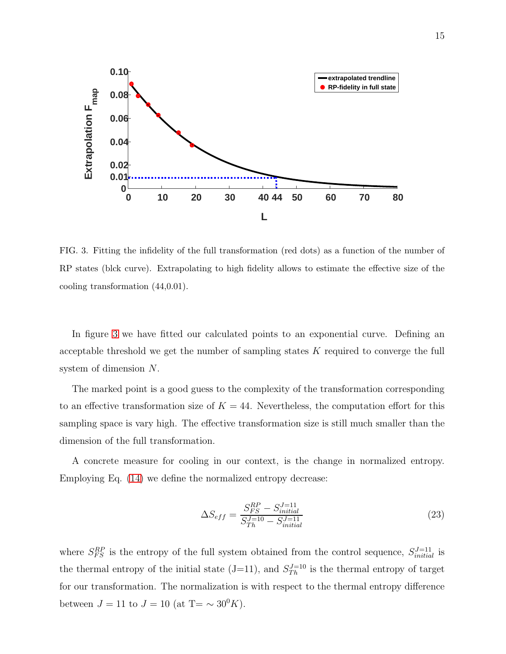

<span id="page-14-0"></span>FIG. 3. Fitting the infidelity of the full transformation (red dots) as a function of the number of RP states (blck curve). Extrapolating to high fidelity allows to estimate the effective size of the cooling transformation (44,0.01).

In figure [3](#page-14-0) we have fitted our calculated points to an exponential curve. Defining an acceptable threshold we get the number of sampling states K required to converge the full system of dimension N.

The marked point is a good guess to the complexity of the transformation corresponding to an effective transformation size of  $K = 44$ . Nevertheless, the computation effort for this sampling space is vary high. The effective transformation size is still much smaller than the dimension of the full transformation.

A concrete measure for cooling in our context, is the change in normalized entropy. Employing Eq. [\(14\)](#page-7-0) we define the normalized entropy decrease:

<span id="page-14-1"></span>
$$
\Delta S_{eff} = \frac{S_{FS}^{RP} - S_{initial}^{J=11}}{S_{Th}^{J=10} - S_{initial}^{J=11}}
$$
\n(23)

where  $S_{FS}^{RP}$  is the entropy of the full system obtained from the control sequence,  $S_{initial}^{J=11}$  is the thermal entropy of the initial state  $(J=11)$ , and  $S_{Th}^{J=10}$  is the thermal entropy of target for our transformation. The normalization is with respect to the thermal entropy difference between  $J = 11$  to  $J = 10$  (at T=  $\sim 30^0 K$ ).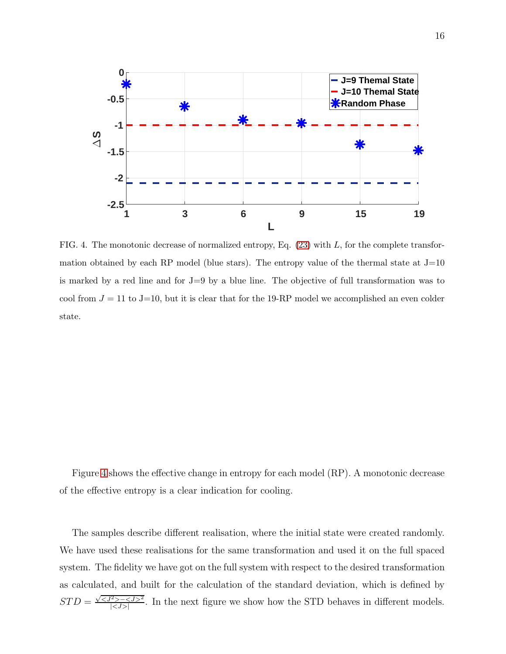

<span id="page-15-0"></span>FIG. 4. The monotonic decrease of normalized entropy, Eq.  $(23)$  with L, for the complete transformation obtained by each RP model (blue stars). The entropy value of the thermal state at  $J=10$ is marked by a red line and for J=9 by a blue line. The objective of full transformation was to cool from  $J = 11$  to J=10, but it is clear that for the 19-RP model we accomplished an even colder state.

Figure [4](#page-15-0) shows the effective change in entropy for each model (RP). A monotonic decrease of the effective entropy is a clear indication for cooling.

The samples describe different realisation, where the initial state were created randomly. We have used these realisations for the same transformation and used it on the full spaced system. The fidelity we have got on the full system with respect to the desired transformation as calculated, and built for the calculation of the standard deviation, which is defined by  $STD = \frac{\sqrt{-^2}}{|^2}$  $\frac{25-55}{50}$ . In the next figure we show how the STD behaves in different models.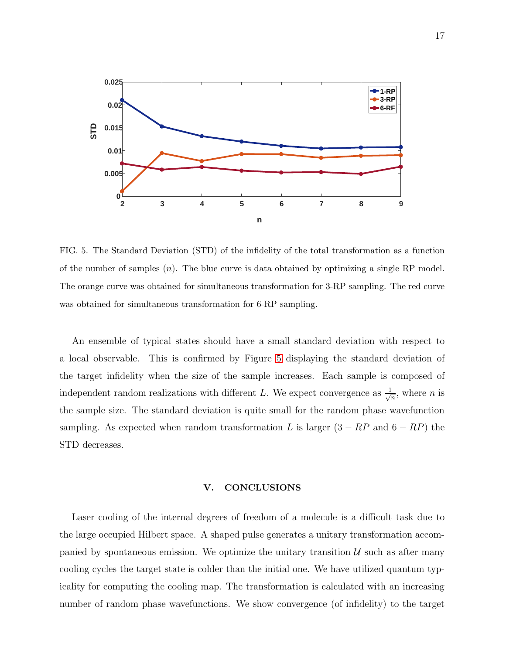

<span id="page-16-0"></span>FIG. 5. The Standard Deviation (STD) of the infidelity of the total transformation as a function of the number of samples  $(n)$ . The blue curve is data obtained by optimizing a single RP model. The orange curve was obtained for simultaneous transformation for 3-RP sampling. The red curve was obtained for simultaneous transformation for 6-RP sampling.

An ensemble of typical states should have a small standard deviation with respect to a local observable. This is confirmed by Figure [5](#page-16-0) displaying the standard deviation of the target infidelity when the size of the sample increases. Each sample is composed of independent random realizations with different L. We expect convergence as  $\frac{1}{\sqrt{6}}$  $\frac{1}{n}$ , where *n* is the sample size. The standard deviation is quite small for the random phase wavefunction sampling. As expected when random transformation L is larger  $(3 - RP)$  and  $6 - RP$ ) the STD decreases.

#### V. CONCLUSIONS

Laser cooling of the internal degrees of freedom of a molecule is a difficult task due to the large occupied Hilbert space. A shaped pulse generates a unitary transformation accompanied by spontaneous emission. We optimize the unitary transition  $\mathcal{U}$  such as after many cooling cycles the target state is colder than the initial one. We have utilized quantum typicality for computing the cooling map. The transformation is calculated with an increasing number of random phase wavefunctions. We show convergence (of infidelity) to the target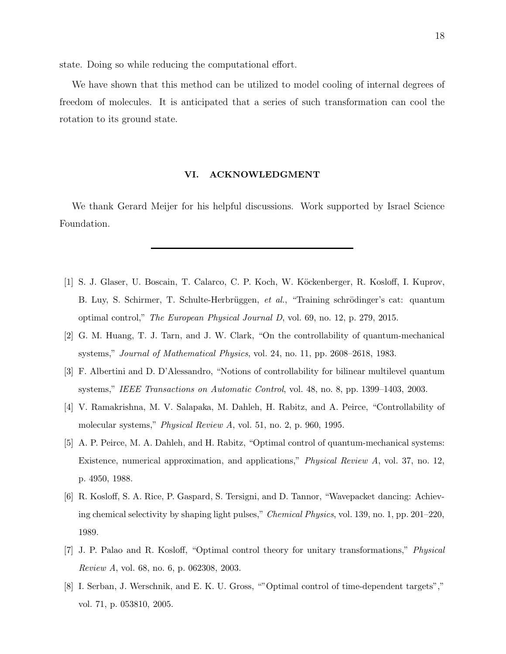state. Doing so while reducing the computational effort.

We have shown that this method can be utilized to model cooling of internal degrees of freedom of molecules. It is anticipated that a series of such transformation can cool the rotation to its ground state.

# VI. ACKNOWLEDGMENT

We thank Gerard Meijer for his helpful discussions. Work supported by Israel Science Foundation.

- <span id="page-17-0"></span>[1] S. J. Glaser, U. Boscain, T. Calarco, C. P. Koch, W. Köckenberger, R. Kosloff, I. Kuprov, B. Luy, S. Schirmer, T. Schulte-Herbrüggen, *et al.*, "Training schrödinger's cat: quantum optimal control," *The European Physical Journal D*, vol. 69, no. 12, p. 279, 2015.
- <span id="page-17-1"></span>[2] G. M. Huang, T. J. Tarn, and J. W. Clark, "On the controllability of quantum-mechanical systems," *Journal of Mathematical Physics*, vol. 24, no. 11, pp. 2608–2618, 1983.
- <span id="page-17-2"></span>[3] F. Albertini and D. D'Alessandro, "Notions of controllability for bilinear multilevel quantum systems," *IEEE Transactions on Automatic Control*, vol. 48, no. 8, pp. 1399–1403, 2003.
- <span id="page-17-3"></span>[4] V. Ramakrishna, M. V. Salapaka, M. Dahleh, H. Rabitz, and A. Peirce, "Controllability of molecular systems," *Physical Review A*, vol. 51, no. 2, p. 960, 1995.
- <span id="page-17-4"></span>[5] A. P. Peirce, M. A. Dahleh, and H. Rabitz, "Optimal control of quantum-mechanical systems: Existence, numerical approximation, and applications," *Physical Review A*, vol. 37, no. 12, p. 4950, 1988.
- <span id="page-17-6"></span>[6] R. Kosloff, S. A. Rice, P. Gaspard, S. Tersigni, and D. Tannor, "Wavepacket dancing: Achieving chemical selectivity by shaping light pulses," *Chemical Physics*, vol. 139, no. 1, pp. 201–220, 1989.
- <span id="page-17-5"></span>[7] J. P. Palao and R. Kosloff, "Optimal control theory for unitary transformations," *Physical Review A*, vol. 68, no. 6, p. 062308, 2003.
- [8] I. Serban, J. Werschnik, and E. K. U. Gross, ""Optimal control of time-dependent targets"," vol. 71, p. 053810, 2005.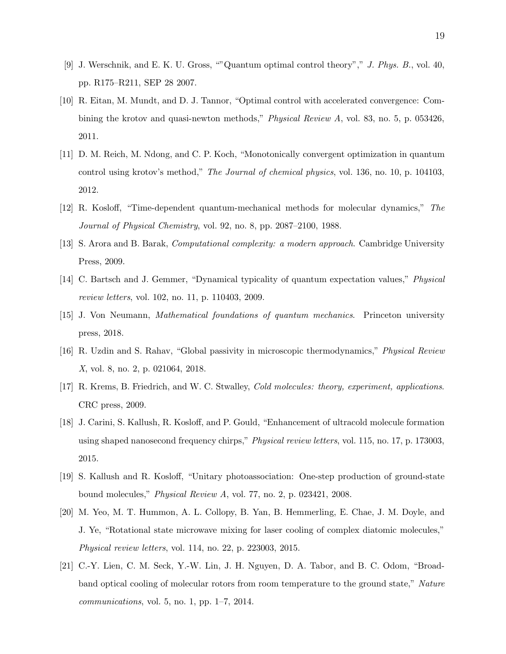- [9] J. Werschnik, and E. K. U. Gross, ""Quantum optimal control theory"," *J. Phys. B.*, vol. 40, pp. R175–R211, SEP 28 2007.
- [10] R. Eitan, M. Mundt, and D. J. Tannor, "Optimal control with accelerated convergence: Combining the krotov and quasi-newton methods," *Physical Review A*, vol. 83, no. 5, p. 053426, 2011.
- <span id="page-18-0"></span>[11] D. M. Reich, M. Ndong, and C. P. Koch, "Monotonically convergent optimization in quantum control using krotov's method," *The Journal of chemical physics*, vol. 136, no. 10, p. 104103, 2012.
- <span id="page-18-1"></span>[12] R. Kosloff, "Time-dependent quantum-mechanical methods for molecular dynamics," *The Journal of Physical Chemistry*, vol. 92, no. 8, pp. 2087–2100, 1988.
- <span id="page-18-2"></span>[13] S. Arora and B. Barak, *Computational complexity: a modern approach*. Cambridge University Press, 2009.
- <span id="page-18-3"></span>[14] C. Bartsch and J. Gemmer, "Dynamical typicality of quantum expectation values," *Physical review letters*, vol. 102, no. 11, p. 110403, 2009.
- <span id="page-18-4"></span>[15] J. Von Neumann, *Mathematical foundations of quantum mechanics*. Princeton university press, 2018.
- <span id="page-18-5"></span>[16] R. Uzdin and S. Rahav, "Global passivity in microscopic thermodynamics," *Physical Review X*, vol. 8, no. 2, p. 021064, 2018.
- <span id="page-18-6"></span>[17] R. Krems, B. Friedrich, and W. C. Stwalley, *Cold molecules: theory, experiment, applications*. CRC press, 2009.
- [18] J. Carini, S. Kallush, R. Kosloff, and P. Gould, "Enhancement of ultracold molecule formation using shaped nanosecond frequency chirps," *Physical review letters*, vol. 115, no. 17, p. 173003, 2015.
- <span id="page-18-8"></span>[19] S. Kallush and R. Kosloff, "Unitary photoassociation: One-step production of ground-state bound molecules," *Physical Review A*, vol. 77, no. 2, p. 023421, 2008.
- [20] M. Yeo, M. T. Hummon, A. L. Collopy, B. Yan, B. Hemmerling, E. Chae, J. M. Doyle, and J. Ye, "Rotational state microwave mixing for laser cooling of complex diatomic molecules," *Physical review letters*, vol. 114, no. 22, p. 223003, 2015.
- <span id="page-18-7"></span>[21] C.-Y. Lien, C. M. Seck, Y.-W. Lin, J. H. Nguyen, D. A. Tabor, and B. C. Odom, "Broadband optical cooling of molecular rotors from room temperature to the ground state," *Nature communications*, vol. 5, no. 1, pp. 1–7, 2014.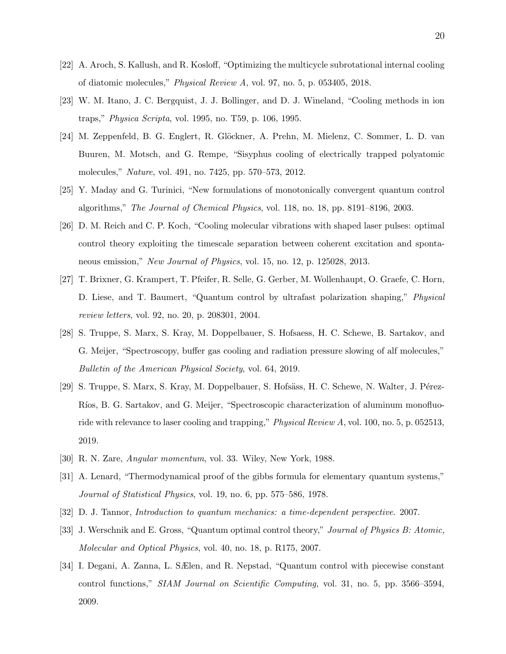- <span id="page-19-0"></span>[22] A. Aroch, S. Kallush, and R. Kosloff, "Optimizing the multicycle subrotational internal cooling of diatomic molecules," *Physical Review A*, vol. 97, no. 5, p. 053405, 2018.
- [23] W. M. Itano, J. C. Bergquist, J. J. Bollinger, and D. J. Wineland, "Cooling methods in ion traps," *Physica Scripta*, vol. 1995, no. T59, p. 106, 1995.
- <span id="page-19-1"></span>[24] M. Zeppenfeld, B. G. Englert, R. Glöckner, A. Prehn, M. Mielenz, C. Sommer, L. D. van Buuren, M. Motsch, and G. Rempe, "Sisyphus cooling of electrically trapped polyatomic molecules," *Nature*, vol. 491, no. 7425, pp. 570–573, 2012.
- <span id="page-19-2"></span>[25] Y. Maday and G. Turinici, "New formulations of monotonically convergent quantum control algorithms," *The Journal of Chemical Physics*, vol. 118, no. 18, pp. 8191–8196, 2003.
- <span id="page-19-3"></span>[26] D. M. Reich and C. P. Koch, "Cooling molecular vibrations with shaped laser pulses: optimal control theory exploiting the timescale separation between coherent excitation and spontaneous emission," *New Journal of Physics*, vol. 15, no. 12, p. 125028, 2013.
- <span id="page-19-4"></span>[27] T. Brixner, G. Krampert, T. Pfeifer, R. Selle, G. Gerber, M. Wollenhaupt, O. Graefe, C. Horn, D. Liese, and T. Baumert, "Quantum control by ultrafast polarization shaping," *Physical review letters*, vol. 92, no. 20, p. 208301, 2004.
- <span id="page-19-5"></span>[28] S. Truppe, S. Marx, S. Kray, M. Doppelbauer, S. Hofsaess, H. C. Schewe, B. Sartakov, and G. Meijer, "Spectroscopy, buffer gas cooling and radiation pressure slowing of alf molecules," *Bulletin of the American Physical Society*, vol. 64, 2019.
- <span id="page-19-6"></span>[29] S. Truppe, S. Marx, S. Kray, M. Doppelbauer, S. Hofsäss, H. C. Schewe, N. Walter, J. Pérez-Ríos, B. G. Sartakov, and G. Meijer, "Spectroscopic characterization of aluminum monofluoride with relevance to laser cooling and trapping," *Physical Review A*, vol. 100, no. 5, p. 052513, 2019.
- <span id="page-19-8"></span><span id="page-19-7"></span>[30] R. N. Zare, *Angular momentum*, vol. 33. Wiley, New York, 1988.
- [31] A. Lenard, "Thermodynamical proof of the gibbs formula for elementary quantum systems," *Journal of Statistical Physics*, vol. 19, no. 6, pp. 575–586, 1978.
- <span id="page-19-9"></span>[32] D. J. Tannor, *Introduction to quantum mechanics: a time-dependent perspective*. 2007.
- <span id="page-19-10"></span>[33] J. Werschnik and E. Gross, "Quantum optimal control theory," *Journal of Physics B: Atomic, Molecular and Optical Physics*, vol. 40, no. 18, p. R175, 2007.
- <span id="page-19-11"></span>[34] I. Degani, A. Zanna, L. SÆlen, and R. Nepstad, "Quantum control with piecewise constant control functions," *SIAM Journal on Scientific Computing*, vol. 31, no. 5, pp. 3566–3594, 2009.